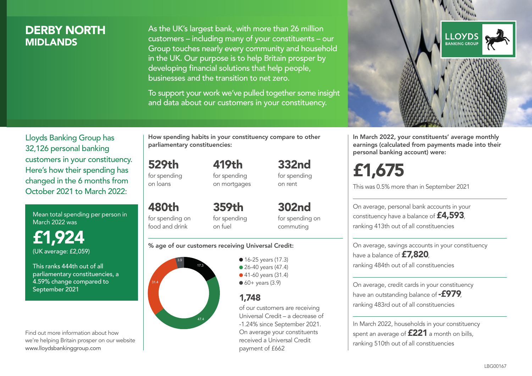## DERBY NORTH **MIDI ANDS**

As the UK's largest bank, with more than 26 million customers – including many of your constituents – our Group touches nearly every community and household in the UK. Our purpose is to help Britain prosper by developing financial solutions that help people, businesses and the transition to net zero.

To support your work we've pulled together some insight and data about our customers in your constituency.



Mean total spending per person in March 2022 was

£1,924 (UK average: £2,059)

This ranks 444th out of all parliamentary constituencies, a 4.59% change compared to September 2021

Find out more information about how we're helping Britain prosper on our website www.lloydsbankinggroup.com

How spending habits in your constituency compare to other parliamentary constituencies:

529th for spending on loans

480th

food and drink

419th for spending on mortgages 332nd for spending on rent

for spending on 359th for spending on fuel

302nd for spending on commuting

#### % age of our customers receiving Universal Credit:



• 16-25 years (17.3) ● 26-40 years (47.4) ● 41-60 years (31.4)  $60+$  years (3.9)

## 1,748

of our customers are receiving Universal Credit – a decrease of -1.24% since September 2021. On average your constituents received a Universal Credit payment of £662



In March 2022, your constituents' average monthly earnings (calculated from payments made into their personal banking account) were:

# £1,675

This was 0.5% more than in September 2021

On average, personal bank accounts in your constituency have a balance of £4,593, ranking 413th out of all constituencies

On average, savings accounts in your constituency have a balance of **£7,820** ranking 484th out of all constituencies

On average, credit cards in your constituency have an outstanding balance of **-£979** ranking 483rd out of all constituencies

In March 2022, households in your constituency spent an average of **£221** a month on bills, ranking 510th out of all constituencies